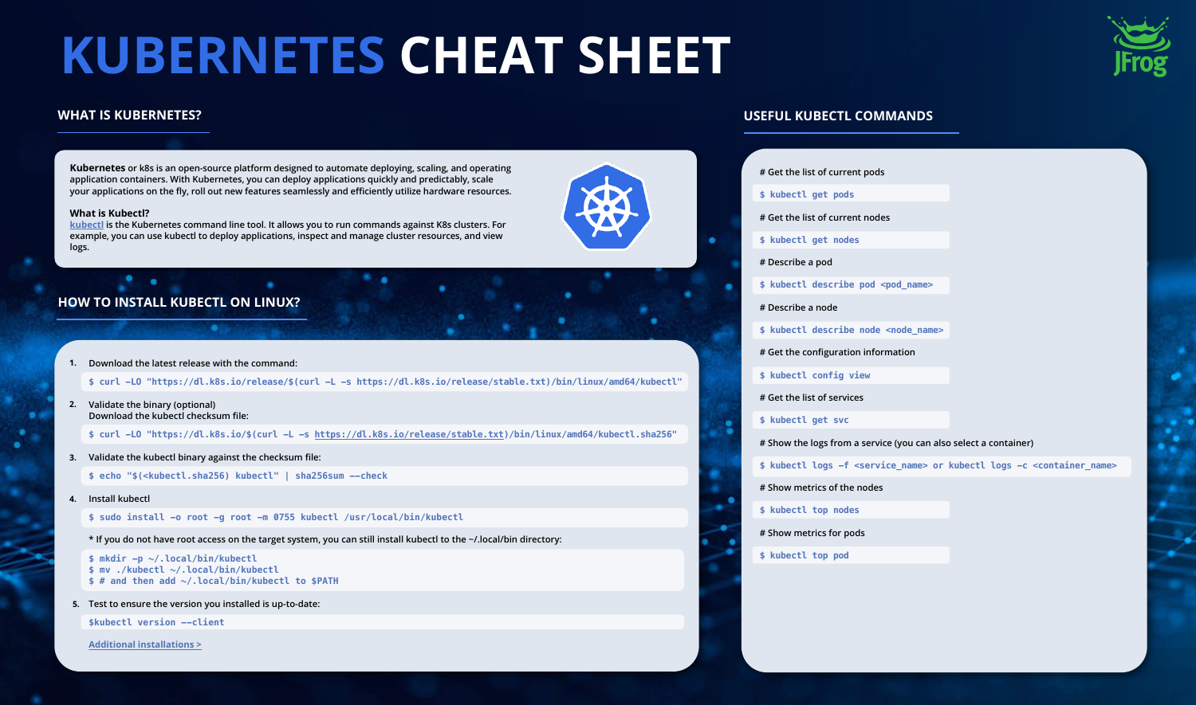**Kubernetes or k8s is an open-source platform designed to automate deploying, scaling, and operating application containers. With Kubernetes, you can deploy applications quickly and predictably, scale your applications on the fly, roll out new features seamlessly and efficiently utilize hardware resources.**

#### **What is Kubectl?**

**[kubectl](https://kubernetes.io/docs/reference/kubectl/overview/) is the Kubernetes command line tool. It allows you to run commands against K8s clusters. For example, you can use kubectl to deploy applications, inspect and manage cluster resources, and view logs.**

## **WHAT IS KUBERNETES?**

**\$ curl -LO "https://dl.k8s.io/release/\$(curl -L -s https://dl.k8s.io/release/stable.txt)/bin/linux/amd64/kubectl"**

**Validate the binary (optional) 2. Download the kubectl checksum file:**

**\$ curl -LO "https://dl.k8s.io/\$(curl -L -s [https://dl.k8s.io/release/stable.txt\)](https://dl.k8s.io/release/stable.txt)/bin/linux/amd64/kubectl.sha256"**

**\$ echo "\$(<kubectl.sha256) kubectl" | sha256sum --check**

**Download the latest release with the command: 1.**

**\$ sudo install -o root -g root -m 0755 kubectl /usr/local/bin/kubectl**

**\* If you do not have root access on the target system, you can still install kubectl to the ~/.local/bin directory:**

**Validate the kubectl binary against the checksum file: 3.**

**Install kubectl 4.**

```
$ mkdir -p ~/.local/bin/kubectl
$ mv ./kubectl ~/.local/bin/kubectl
$ # and then add ~/.local/bin/kubectl to $PATH
```
**Test to ensure the version you installed is up-to-date: 5.**

**\$kubectl version --client**

**[Additional installations >](https://kubernetes.io/docs/tasks/tools/)**





# **HOW TO INSTALL KUBECTL ON LINUX?**

# **KUBERNETES CHEAT SHEET**

## **USEFUL KUBECTL COMMANDS**

#### **# Get the list of current pods**

- **\$ kubectl get pods**
- **# Get the list of current nodes**
- **\$ kubectl get nodes**
- **# Describe a pod**
- \$ kubectl describe pod <pod name>
- **# Describe a node**
- **\$ kubectl describe node <node\_name>**
- **# Get the configuration information**
- **\$ kubectl config view**
- **# Get the list of services**
- **\$ kubectl get svc**

٠

**# Show the logs from a service (you can also select a container)**

**\$ kubectl logs -f <service\_name> or kubectl logs -c <container\_name>**

- **# Show metrics of the nodes**
- **\$ kubectl top nodes**
- **# Show metrics for pods**
- **\$ kubectl top pod**